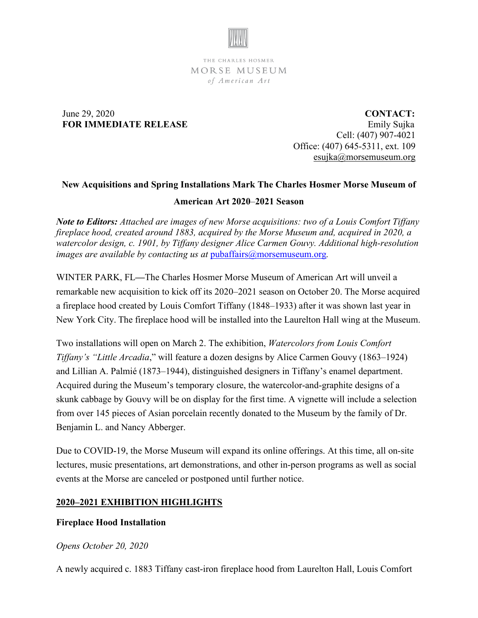

THE CHARLES HOSMER MORSE MUSEUM of American Art

## June 29, 2020 **FOR IMMEDIATE RELEASE**

 **CONTACT:** Emily Sujka Cell: (407) 907-4021 Office: (407) 645-5311, ext. 109 [esujka@morsemuseum.org](mailto:esujka@morsemuseum.org)

# **New Acquisitions and Spring Installations Mark The Charles Hosmer Morse Museum of**

## **American Art 2020**–**2021 Season**

*Note to Editors: Attached are images of new Morse acquisitions: two of a Louis Comfort Tiffany fireplace hood, created around 1883, acquired by the Morse Museum and, acquired in 2020, a watercolor design, c. 1901, by Tiffany designer Alice Carmen Gouvy. Additional high-resolution images are available by contacting us at [pubaffairs@morsemuseum.org](mailto:pubaffairs@morsemuseum.org).* 

WINTER PARK, FL**—**The Charles Hosmer Morse Museum of American Art will unveil a remarkable new acquisition to kick off its 2020–2021 season on October 20. The Morse acquired a fireplace hood created by Louis Comfort Tiffany (1848–1933) after it was shown last year in New York City. The fireplace hood will be installed into the Laurelton Hall wing at the Museum.

Two installations will open on March 2. The exhibition, *Watercolors from Louis Comfort Tiffany's "Little Arcadia*," will feature a dozen designs by Alice Carmen Gouvy (1863–1924) and Lillian A. Palmié (1873–1944), distinguished designers in Tiffany's enamel department. Acquired during the Museum's temporary closure, the watercolor-and-graphite designs of a skunk cabbage by Gouvy will be on display for the first time. A vignette will include a selection from over 145 pieces of Asian porcelain recently donated to the Museum by the family of Dr. Benjamin L. and Nancy Abberger.

Due to COVID-19, the Morse Museum will expand its online offerings. At this time, all on-site lectures, music presentations, art demonstrations, and other in-person programs as well as social events at the Morse are canceled or postponed until further notice.

# **2020–2021 EXHIBITION HIGHLIGHTS**

# **Fireplace Hood Installation**

## *Opens October 20, 2020*

A newly acquired c. 1883 Tiffany cast-iron fireplace hood from Laurelton Hall, Louis Comfort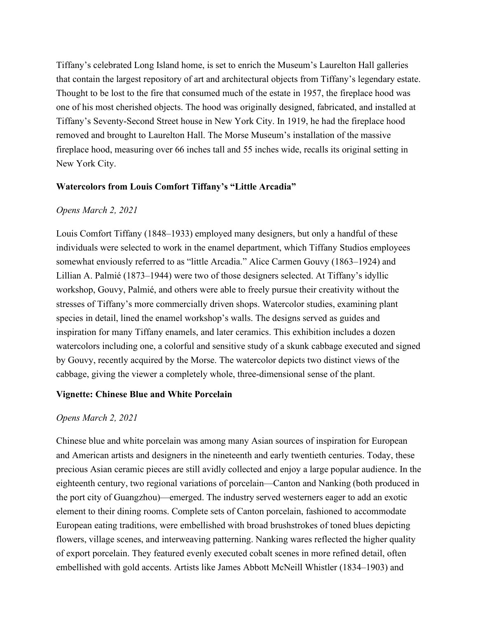Tiffany's celebrated Long Island home, is set to enrich the Museum's Laurelton Hall galleries that contain the largest repository of art and architectural objects from Tiffany's legendary estate. Thought to be lost to the fire that consumed much of the estate in 1957, the fireplace hood was one of his most cherished objects. The hood was originally designed, fabricated, and installed at Tiffany's Seventy-Second Street house in New York City. In 1919, he had the fireplace hood removed and brought to Laurelton Hall. The Morse Museum's installation of the massive fireplace hood, measuring over 66 inches tall and 55 inches wide, recalls its original setting in New York City.

### **Watercolors from Louis Comfort Tiffany's "Little Arcadia"**

### *Opens March 2, 2021*

Louis Comfort Tiffany (1848–1933) employed many designers, but only a handful of these individuals were selected to work in the enamel department, which Tiffany Studios employees somewhat enviously referred to as "little Arcadia." Alice Carmen Gouvy (1863–1924) and Lillian A. Palmié (1873–1944) were two of those designers selected. At Tiffany's idyllic workshop, Gouvy, Palmié, and others were able to freely pursue their creativity without the stresses of Tiffany's more commercially driven shops. Watercolor studies, examining plant species in detail, lined the enamel workshop's walls. The designs served as guides and inspiration for many Tiffany enamels, and later ceramics. This exhibition includes a dozen watercolors including one, a colorful and sensitive study of a skunk cabbage executed and signed by Gouvy, recently acquired by the Morse. The watercolor depicts two distinct views of the cabbage, giving the viewer a completely whole, three-dimensional sense of the plant.

#### **Vignette: Chinese Blue and White Porcelain**

#### *Opens March 2, 2021*

Chinese blue and white porcelain was among many Asian sources of inspiration for European and American artists and designers in the nineteenth and early twentieth centuries. Today, these precious Asian ceramic pieces are still avidly collected and enjoy a large popular audience. In the eighteenth century, two regional variations of porcelain—Canton and Nanking (both produced in the port city of Guangzhou)—emerged. The industry served westerners eager to add an exotic element to their dining rooms. Complete sets of Canton porcelain, fashioned to accommodate European eating traditions, were embellished with broad brushstrokes of toned blues depicting flowers, village scenes, and interweaving patterning. Nanking wares reflected the higher quality of export porcelain. They featured evenly executed cobalt scenes in more refined detail, often embellished with gold accents. Artists like James Abbott McNeill Whistler (1834–1903) and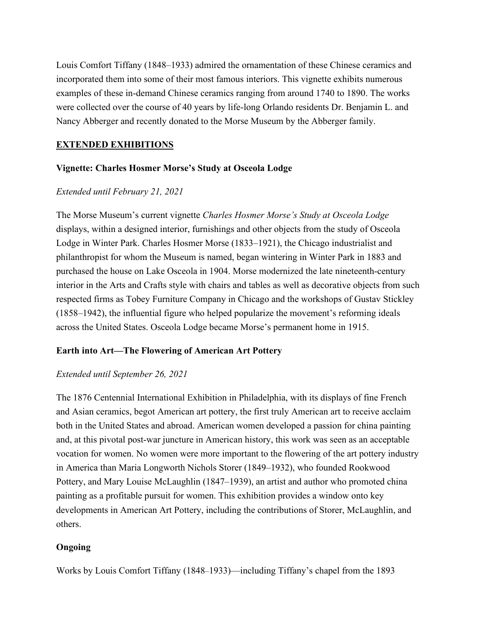Louis Comfort Tiffany (1848–1933) admired the ornamentation of these Chinese ceramics and incorporated them into some of their most famous interiors. This vignette exhibits numerous examples of these in-demand Chinese ceramics ranging from around 1740 to 1890. The works were collected over the course of 40 years by life-long Orlando residents Dr. Benjamin L. and Nancy Abberger and recently donated to the Morse Museum by the Abberger family.

## **EXTENDED EXHIBITIONS**

## **Vignette: Charles Hosmer Morse's Study at Osceola Lodge**

# *Extended until February 21, 2021*

The Morse Museum's current vignette *Charles Hosmer Morse's Study at Osceola Lodge* displays, within a designed interior, furnishings and other objects from the study of Osceola Lodge in Winter Park. Charles Hosmer Morse (1833–1921), the Chicago industrialist and philanthropist for whom the Museum is named, began wintering in Winter Park in 1883 and purchased the house on Lake Osceola in 1904. Morse modernized the late nineteenth-century interior in the Arts and Crafts style with chairs and tables as well as decorative objects from such respected firms as Tobey Furniture Company in Chicago and the workshops of Gustav Stickley (1858–1942), the influential figure who helped popularize the movement's reforming ideals across the United States. Osceola Lodge became Morse's permanent home in 1915.

## **Earth into Art—The Flowering of American Art Pottery**

## *Extended until September 26, 2021*

The 1876 Centennial International Exhibition in Philadelphia, with its displays of fine French and Asian ceramics, begot American art pottery, the first truly American art to receive acclaim both in the United States and abroad. American women developed a passion for china painting and, at this pivotal post-war juncture in American history, this work was seen as an acceptable vocation for women. No women were more important to the flowering of the art pottery industry in America than Maria Longworth Nichols Storer (1849–1932), who founded Rookwood Pottery, and Mary Louise McLaughlin (1847–1939), an artist and author who promoted china painting as a profitable pursuit for women. This exhibition provides a window onto key developments in American Art Pottery, including the contributions of Storer, McLaughlin, and others.

## **Ongoing**

Works by Louis Comfort Tiffany (1848–1933)—including Tiffany's chapel from the 1893